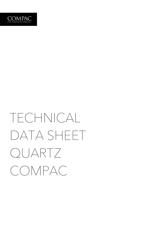

## TECHNICAL DATA SHEET QUARTZ COMPAC